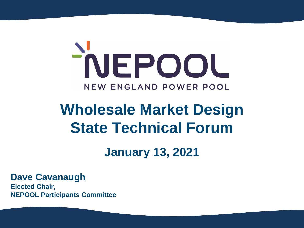

# **Wholesale Market Design State Technical Forum**

## **January 13, 2021**

**Dave Cavanaugh**

**Elected Chair, NEPOOL Participants Committee**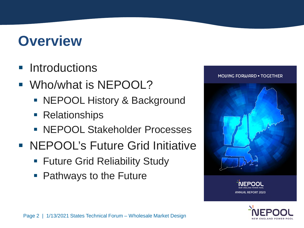# **Overview**

## **Introductions**

- **Who/what is NEPOOL?** 
	- NEPOOL History & Background
	- **Relationships**
	- **NEPOOL Stakeholder Processes**
- NEPOOL's Future Grid Initiative
	- **Future Grid Reliability Study**
	- Pathways to the Future





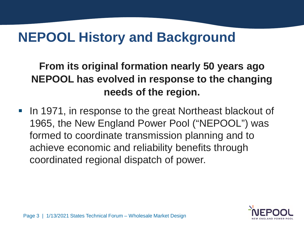# **NEPOOL History and Background**

## **From its original formation nearly 50 years ago NEPOOL has evolved in response to the changing needs of the region.**

In 1971, in response to the great Northeast blackout of 1965, the New England Power Pool ("NEPOOL") was formed to coordinate transmission planning and to achieve economic and reliability benefits through coordinated regional dispatch of power.

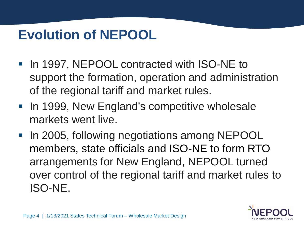# **Evolution of NEPOOL**

- **In 1997, NEPOOL contracted with ISO-NE to** support the formation, operation and administration of the regional tariff and market rules.
- **In 1999, New England's competitive wholesale** markets went live.
- In 2005, following negotiations among NEPOOL members, state officials and ISO-NE to form RTO arrangements for New England, NEPOOL turned over control of the regional tariff and market rules to ISO-NE.

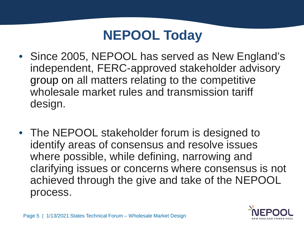# **NEPOOL Today**

- Since 2005, NEPOOL has served as New England's independent, FERC-approved stakeholder advisory group on all matters relating to the competitive wholesale market rules and transmission tariff design.
- The NEPOOL stakeholder forum is designed to identify areas of consensus and resolve issues where possible, while defining, narrowing and clarifying issues or concerns where consensus is not achieved through the give and take of the NEPOOL process.

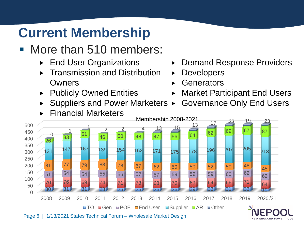# **Current Membership**

- More than 510 members:
	- ▶ End User Organizations
	- Transmission and Distribution Owners
	- ▶ Publicly Owned Entities
	- Suppliers and Power Marketers ►



- ▶ Demand Response Providers
- **Developers**
- **Generators**
- ▶ Market Participant End Users
	- Governance Only End Users

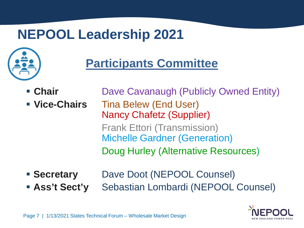# **NEPOOL Leadership 2021**



# **Participants Committee**

- 
- 
- **Chair** Dave Cavanaugh (Publicly Owned Entity) **Vice-Chairs** Tina Belew (End User) Nancy Chafetz (Supplier) Frank Ettori (Transmission) Michelle Gardner (Generation) Doug Hurley (Alternative Resources)
- **Secretary** Dave Doot (NEPOOL Counsel)
- **Ass't Sect'y** Sebastian Lombardi (NEPOOL Counsel)

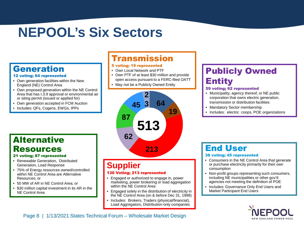# **NEPOOL's Six Sectors**

### Generation

#### 12 voting; 64 represented

- Own generation facilities within the New England (NE) Control Area
- Own proposed generation within the NE Control Area that has I.3.9 approval or environmental air or siting permit (issued or applied for)
- Own generation accepted in FCM Auction
- Includes: QFs, Cogens, EWGs, IPPs

### **Alternative** Resources

#### 21 voting; 87 represented

- Renewable Generation, Distributed Generation, Load Response
- 75% of Energy resources owned/controlled within NE Control Area are Alternative Resources; or
- 50 MW of AR in NE Control Area; or
- \$30 million capital investment in its AR in the NE Control Area

### Transmission

#### 5 voting; 19 represented

- Own Local Network and PTF
- Own PTF of at least \$30 million and provide open access pursuant to a FERC-filed OATT
- May not be a Publicly Owned Entity



### **Supplier**

#### 130 Voting; 213 represented

- Engaged or authorized to engage in, power marketing, power brokering or load aggregation within the NE Control Area
- Engaged solely in the distribution of electricity in the NE Control Area (on & before Dec 31, 1998)
- Includes: Brokers, Traders (physical/financial), Load Aggregators, Distribution-only companies

### Publicly Owned Entity

#### 59 voting; 62 represented

- Municipality, agency thereof, or NE public corporation that owns electric generation, transmission or distribution facilities
- Mandatory Sector membership
- Includes: electric coops, POE organizations

### End User

#### 38 voting; 45 represented

- Consumers in the NE Control Area that generate or purchase electricity primarily for their own consumption
- Non-profit groups representing such consumers, including NE municipalities or other gov'tl agencies not meeting the definition of POE
- Includes: Governance Only End Users and Market Participant End Users

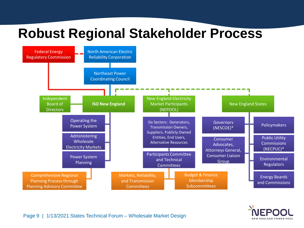# **Robust Regional Stakeholder Process**



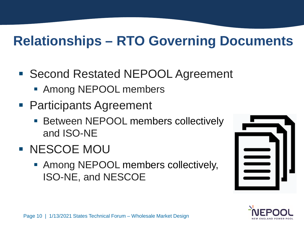# **Relationships – RTO Governing Documents**

- Second Restated NEPOOL Agreement
	- Among NEPOOL members
- Participants Agreement
	- **Between NEPOOL members collectively** and ISO-NE
- **NESCOE MOU** 
	- Among NEPOOL members collectively, ISO-NE, and NESCOE



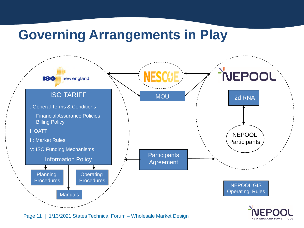# **Governing Arrangements in Play**



Page 11 | 1/13/2021 States Technical Forum – Wholesale Market Design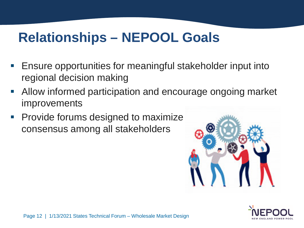# **Relationships – NEPOOL Goals**

- Ensure opportunities for meaningful stakeholder input into regional decision making
- Allow informed participation and encourage ongoing market improvements
- **Provide forums designed to maximize** consensus among all stakeholders



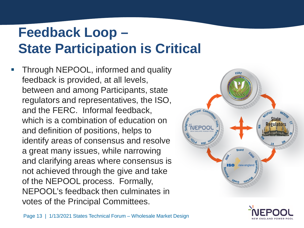# **Feedback Loop – State Participation is Critical**

 Through NEPOOL, informed and quality feedback is provided, at all levels, between and among Participants, state regulators and representatives, the ISO, and the FERC. Informal feedback, which is a combination of education on and definition of positions, helps to identify areas of consensus and resolve a great many issues, while narrowing and clarifying areas where consensus is not achieved through the give and take of the NEPOOL process. Formally, NEPOOL's feedback then culminates in votes of the Principal Committees.



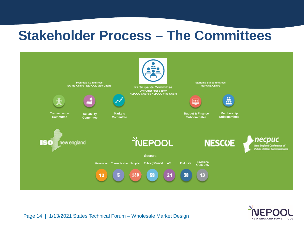## **Stakeholder Process – The Committees**



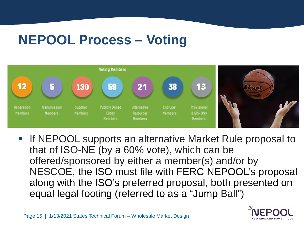# **NEPOOL Process – Voting**



**If NEPOOL supports an alternative Market Rule proposal to** that of ISO-NE (by a 60% vote), which can be offered/sponsored by either a member(s) and/or by NESCOE, the ISO must file with FERC NEPOOL's proposal along with the ISO's preferred proposal, both presented on equal legal footing (referred to as a "Jump Ball")

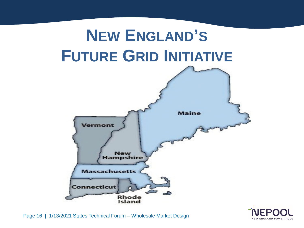

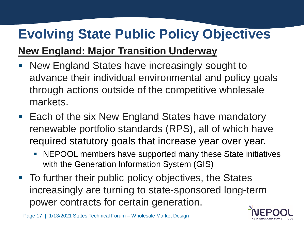# **Evolving State Public Policy Objectives**

## **New England: Major Transition Underway**

- New England States have increasingly sought to advance their individual environmental and policy goals through actions outside of the competitive wholesale markets.
- Each of the six New England States have mandatory renewable portfolio standards (RPS), all of which have required statutory goals that increase year over year.
	- NEPOOL members have supported many these State initiatives with the Generation Information System (GIS)
- To further their public policy objectives, the States increasingly are turning to state-sponsored long-term power contracts for certain generation.

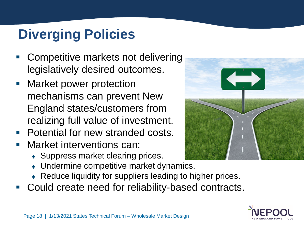# **Diverging Policies**

- Competitive markets not delivering legislatively desired outcomes.
- **Market power protection** mechanisms can prevent New England states/customers from realizing full value of investment.
- **Potential for new stranded costs.**
- Market interventions can:
	- Suppress market clearing prices.
	- Undermine competitive market dynamics.
	- Reduce liquidity for suppliers leading to higher prices.
- Could create need for reliability-based contracts.



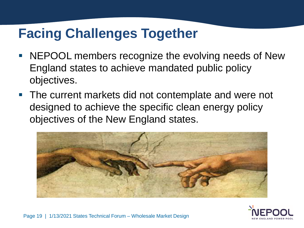# **Facing Challenges Together**

- NEPOOL members recognize the evolving needs of New England states to achieve mandated public policy objectives.
- The current markets did not contemplate and were not designed to achieve the specific clean energy policy objectives of the New England states.



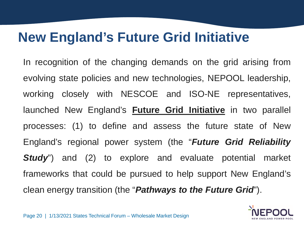# **New England's Future Grid Initiative**

In recognition of the changing demands on the grid arising from evolving state policies and new technologies, NEPOOL leadership, working closely with NESCOE and ISO-NE representatives, launched New England's **Future Grid Initiative** in two parallel processes: (1) to define and assess the future state of New England's regional power system (the "*Future Grid Reliability Study*") and (2) to explore and evaluate potential market frameworks that could be pursued to help support New England's clean energy transition (the "*Pathways to the Future Grid*").

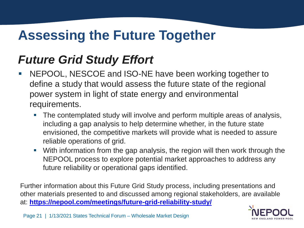# **Assessing the Future Together**

## *Future Grid Study Effort*

- NEPOOL, NESCOE and ISO-NE have been working together to define a study that would assess the future state of the regional power system in light of state energy and environmental requirements.
	- The contemplated study will involve and perform multiple areas of analysis, including a gap analysis to help determine whether, in the future state envisioned, the competitive markets will provide what is needed to assure reliable operations of grid.
	- With information from the gap analysis, the region will then work through the NEPOOL process to explore potential market approaches to address any future reliability or operational gaps identified.

Further information about this Future Grid Study process, including presentations and other materials presented to and discussed among regional stakeholders, are available at: **<https://nepool.com/meetings/future-grid-reliability-study/>**

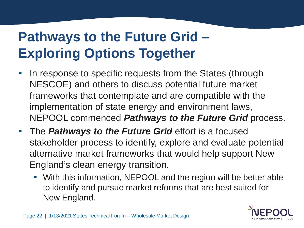# **Pathways to the Future Grid – Exploring Options Together**

- In response to specific requests from the States (through NESCOE) and others to discuss potential future market frameworks that contemplate and are compatible with the implementation of state energy and environment laws, NEPOOL commenced *Pathways to the Future Grid* process.
- **The Pathways to the Future Grid** effort is a focused stakeholder process to identify, explore and evaluate potential alternative market frameworks that would help support New England's clean energy transition.
	- With this information, NEPOOL and the region will be better able to identify and pursue market reforms that are best suited for New England.

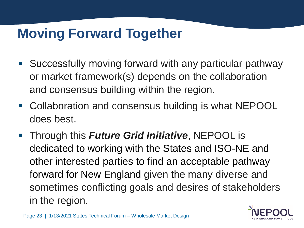# **Moving Forward Together**

- Successfully moving forward with any particular pathway or market framework(s) depends on the collaboration and consensus building within the region.
- Collaboration and consensus building is what NEPOOL does best.
- Through this *Future Grid Initiative*, NEPOOL is dedicated to working with the States and ISO-NE and other interested parties to find an acceptable pathway forward for New England given the many diverse and sometimes conflicting goals and desires of stakeholders in the region.

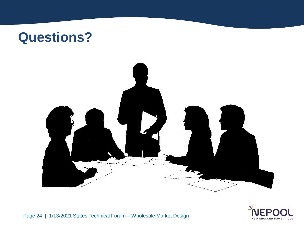





Page 24 | 1/13/2021 States Technical Forum – Wholesale Market Design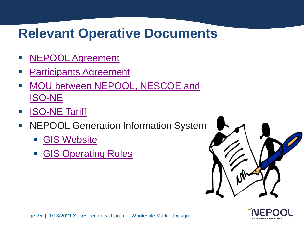# **Relevant Operative Documents**

- **NEPOOL Agreement**
- [Participants Agreement](https://nepool.com/wp-content/uploads/2020/12/Op-PA.pdf)
- [MOU between NEPOOL, NESCOE and](https://nepool.com/uploads/MOU_Final.pdf)  [ISO-NE](https://nepool.com/uploads/MOU_Final.pdf)
- [ISO-NE Tariff](https://www.iso-ne.com/participate/rules-procedures/tariff)
- **NEPOOL Generation Information System** 
	- [GIS Website](https://www.nepoolgis.com/)
	- [GIS Operating Rules](https://www.nepoolgis.com/wp-content/uploads/sites/3/2020/07/GIS-Operating-Rules-Effective-7-1-20.doc)